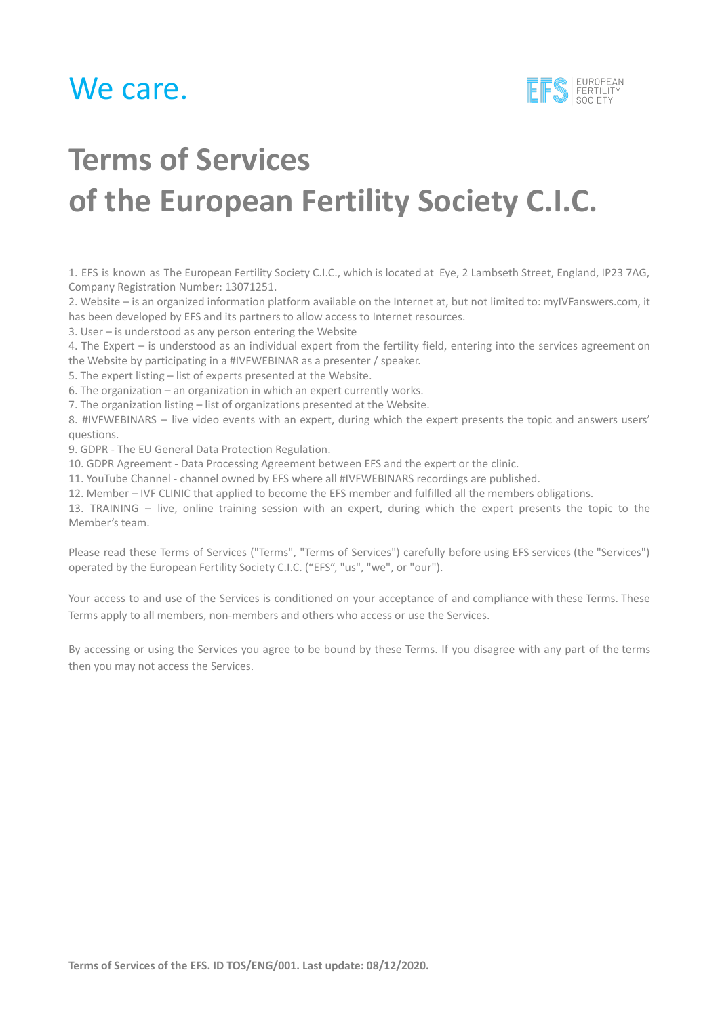

# **Terms of Services of the European Fertility Society C.I.C.**

1. EFS is known as The European Fertility Society C.I.C., which is located at Eye, 2 Lambseth Street, England, IP23 7AG, Company Registration Number: 13071251.

2. Website – is an organized information platform available on the Internet at, but not limited to: myIVFanswers.com, it has been developed by EFS and its partners to allow access to Internet resources.

3. User – is understood as any person entering the Website

4. The Expert – is understood as an individual expert from the fertility field, entering into the services agreement on the Website by participating in a #IVFWEBINAR as a presenter / speaker.

5. The expert listing – list of experts presented at the Website.

6. The organization – an organization in which an expert currently works.

7. The organization listing – list of organizations presented at the Website.

8. #IVFWEBINARS – live video events with an expert, during which the expert presents the topic and answers users' questions.

9. GDPR - The EU General Data Protection Regulation.

10. GDPR Agreement - Data Processing Agreement between EFS and the expert or the clinic.

11. YouTube Channel - channel owned by EFS where all #IVFWEBINARS recordings are published.

12. Member – IVF CLINIC that applied to become the EFS member and fulfilled all the members obligations.

13. TRAINING – live, online training session with an expert, during which the expert presents the topic to the Member's team.

Please read these Terms of Services ("Terms", "Terms of Services") carefully before using EFS services (the "Services") operated by the European Fertility Society C.I.C. ("EFS", "us", "we", or "our").

Your access to and use of the Services is conditioned on your acceptance of and compliance with these Terms. These Terms apply to all members, non-members and others who access or use the Services.

By accessing or using the Services you agree to be bound by these Terms. If you disagree with any part of the terms then you may not access the Services.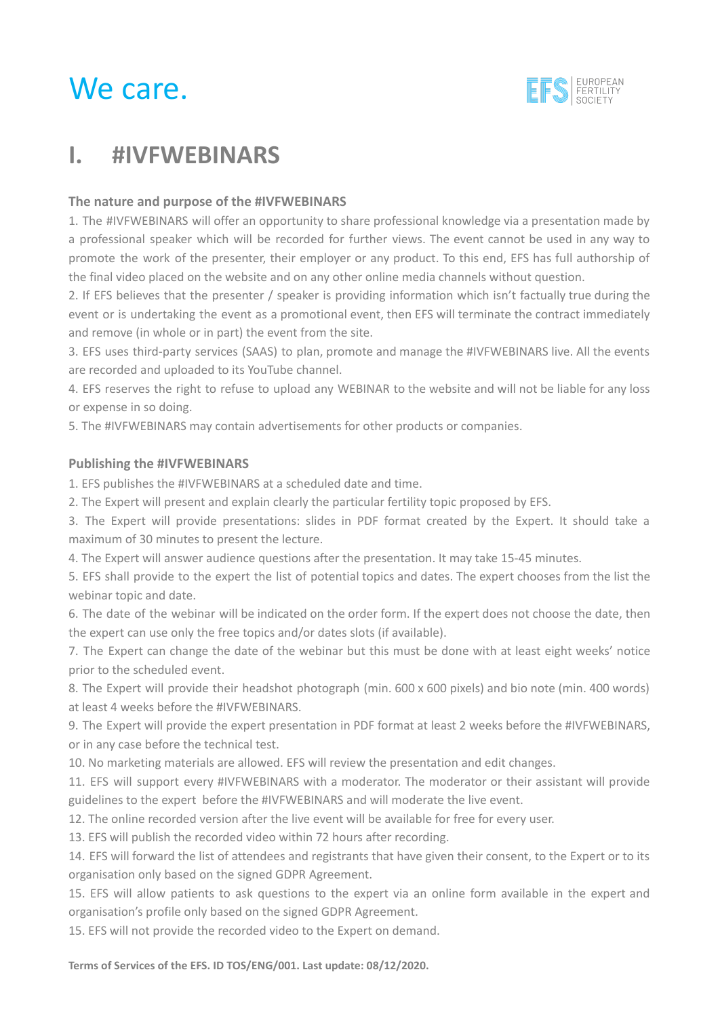

### **I. #IVFWEBINARS**

#### **The nature and purpose of the #IVFWEBINARS**

1. The #IVFWEBINARS will offer an opportunity to share professional knowledge via a presentation made by a professional speaker which will be recorded for further views. The event cannot be used in any way to promote the work of the presenter, their employer or any product. To this end, EFS has full authorship of the final video placed on the website and on any other online media channels without question.

2. If EFS believes that the presenter / speaker is providing information which isn't factually true during the event or is undertaking the event as a promotional event, then EFS will terminate the contract immediately and remove (in whole or in part) the event from the site.

3. EFS uses third-party services (SAAS) to plan, promote and manage the #IVFWEBINARS live. All the events are recorded and uploaded to its YouTube channel.

4. EFS reserves the right to refuse to upload any WEBINAR to the website and will not be liable for any loss or expense in so doing.

5. The #IVFWEBINARS may contain advertisements for other products or companies.

#### **Publishing the #IVFWEBINARS**

1. EFS publishes the #IVFWEBINARS at a scheduled date and time.

2. The Expert will present and explain clearly the particular fertility topic proposed by EFS.

3. The Expert will provide presentations: slides in PDF format created by the Expert. It should take a maximum of 30 minutes to present the lecture.

4. The Expert will answer audience questions after the presentation. It may take 15-45 minutes.

5. EFS shall provide to the expert the list of potential topics and dates. The expert chooses from the list the webinar topic and date.

6. The date of the webinar will be indicated on the order form. If the expert does not choose the date, then the expert can use only the free topics and/or dates slots (if available).

7. The Expert can change the date of the webinar but this must be done with at least eight weeks' notice prior to the scheduled event.

8. The Expert will provide their headshot photograph (min. 600 x 600 pixels) and bio note (min. 400 words) at least 4 weeks before the #IVFWEBINARS.

9. The Expert will provide the expert presentation in PDF format at least 2 weeks before the #IVFWEBINARS, or in any case before the technical test.

10. No marketing materials are allowed. EFS will review the presentation and edit changes.

11. EFS will support every #IVFWEBINARS with a moderator. The moderator or their assistant will provide guidelines to the expert before the #IVFWEBINARS and will moderate the live event.

12. The online recorded version after the live event will be available for free for every user.

13. EFS will publish the recorded video within 72 hours after recording.

14. EFS will forward the list of attendees and registrants that have given their consent, to the Expert or to its organisation only based on the signed GDPR Agreement.

15. EFS will allow patients to ask questions to the expert via an online form available in the expert and organisation's profile only based on the signed GDPR Agreement.

15. EFS will not provide the recorded video to the Expert on demand.

**Terms of Services of the EFS. ID TOS/ENG/001. Last update: 08/12/2020.**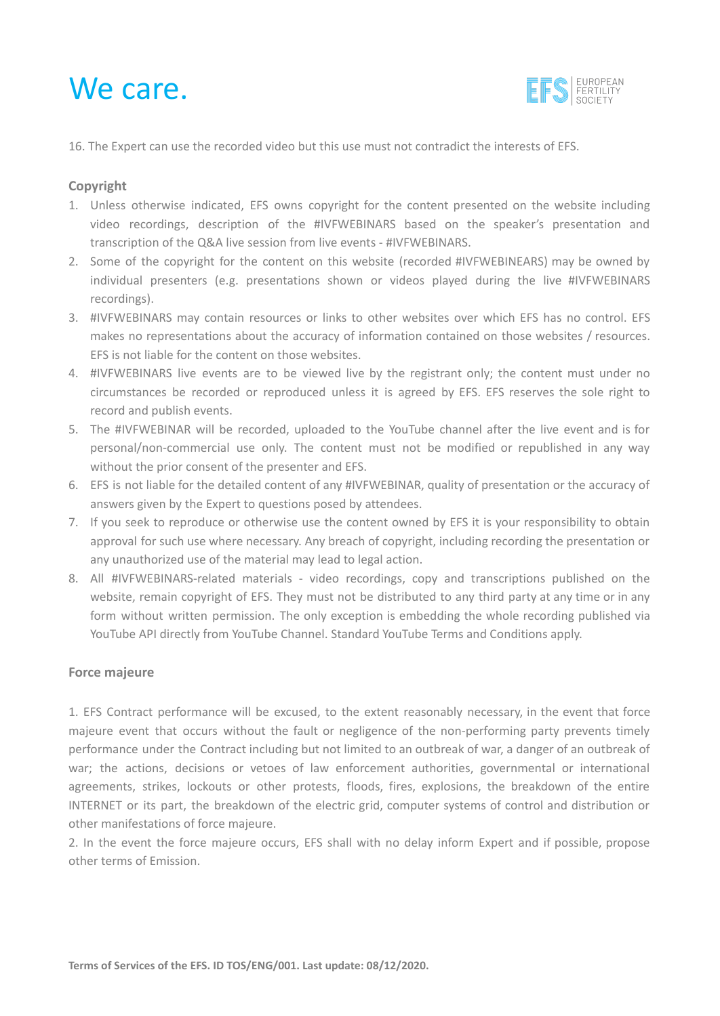

16. The Expert can use the recorded video but this use must not contradict the interests of EFS.

#### **Copyright**

- 1. Unless otherwise indicated, EFS owns copyright for the content presented on the website including video recordings, description of the #IVFWEBINARS based on the speaker's presentation and transcription of the Q&A live session from live events - #IVFWEBINARS.
- 2. Some of the copyright for the content on this website (recorded #IVFWEBINEARS) may be owned by individual presenters (e.g. presentations shown or videos played during the live #IVFWEBINARS recordings).
- 3. #IVFWEBINARS may contain resources or links to other websites over which EFS has no control. EFS makes no representations about the accuracy of information contained on those websites / resources. EFS is not liable for the content on those websites.
- 4. #IVFWEBINARS live events are to be viewed live by the registrant only; the content must under no circumstances be recorded or reproduced unless it is agreed by EFS. EFS reserves the sole right to record and publish events.
- 5. The #IVFWEBINAR will be recorded, uploaded to the YouTube channel after the live event and is for personal/non-commercial use only. The content must not be modified or republished in any way without the prior consent of the presenter and EFS.
- 6. EFS is not liable for the detailed content of any #IVFWEBINAR, quality of presentation or the accuracy of answers given by the Expert to questions posed by attendees.
- 7. If you seek to reproduce or otherwise use the content owned by EFS it is your responsibility to obtain approval for such use where necessary. Any breach of copyright, including recording the presentation or any unauthorized use of the material may lead to legal action.
- 8. All #IVFWEBINARS-related materials video recordings, copy and transcriptions published on the website, remain copyright of EFS. They must not be distributed to any third party at any time or in any form without written permission. The only exception is embedding the whole recording published via YouTube API directly from YouTube Channel. Standard YouTube Terms and Conditions apply.

#### **Force majeure**

1. EFS Contract performance will be excused, to the extent reasonably necessary, in the event that force majeure event that occurs without the fault or negligence of the non-performing party prevents timely performance under the Contract including but not limited to an outbreak of war, a danger of an outbreak of war; the actions, decisions or vetoes of law enforcement authorities, governmental or international agreements, strikes, lockouts or other protests, floods, fires, explosions, the breakdown of the entire INTERNET or its part, the breakdown of the electric grid, computer systems of control and distribution or other manifestations of force majeure.

2. In the event the force majeure occurs, EFS shall with no delay inform Expert and if possible, propose other terms of Emission.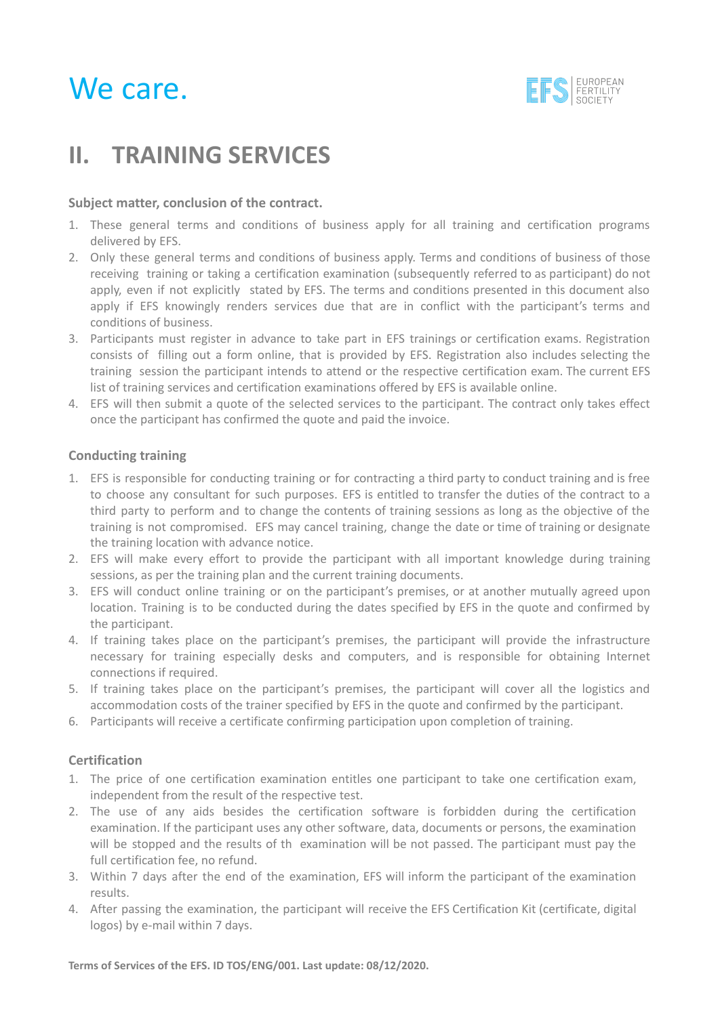

### **II. TRAINING SERVICES**

#### **Subject matter, conclusion of the contract.**

- 1. These general terms and conditions of business apply for all training and certification programs delivered by EFS.
- 2. Only these general terms and conditions of business apply. Terms and conditions of business of those receiving training or taking a certification examination (subsequently referred to as participant) do not apply, even if not explicitly stated by EFS. The terms and conditions presented in this document also apply if EFS knowingly renders services due that are in conflict with the participant's terms and conditions of business.
- 3. Participants must register in advance to take part in EFS trainings or certification exams. Registration consists of filling out a form online, that is provided by EFS. Registration also includes selecting the training session the participant intends to attend or the respective certification exam. The current EFS list of training services and certification examinations offered by EFS is available online.
- 4. EFS will then submit a quote of the selected services to the participant. The contract only takes effect once the participant has confirmed the quote and paid the invoice.

#### **Conducting training**

- 1. EFS is responsible for conducting training or for contracting a third party to conduct training and is free to choose any consultant for such purposes. EFS is entitled to transfer the duties of the contract to a third party to perform and to change the contents of training sessions as long as the objective of the training is not compromised. EFS may cancel training, change the date or time of training or designate the training location with advance notice.
- 2. EFS will make every effort to provide the participant with all important knowledge during training sessions, as per the training plan and the current training documents.
- 3. EFS will conduct online training or on the participant's premises, or at another mutually agreed upon location. Training is to be conducted during the dates specified by EFS in the quote and confirmed by the participant.
- 4. If training takes place on the participant's premises, the participant will provide the infrastructure necessary for training especially desks and computers, and is responsible for obtaining Internet connections if required.
- 5. If training takes place on the participant's premises, the participant will cover all the logistics and accommodation costs of the trainer specified by EFS in the quote and confirmed by the participant.
- 6. Participants will receive a certificate confirming participation upon completion of training.

#### **Certification**

- 1. The price of one certification examination entitles one participant to take one certification exam, independent from the result of the respective test.
- 2. The use of any aids besides the certification software is forbidden during the certification examination. If the participant uses any other software, data, documents or persons, the examination will be stopped and the results of th examination will be not passed. The participant must pay the full certification fee, no refund.
- 3. Within 7 days after the end of the examination, EFS will inform the participant of the examination results.
- 4. After passing the examination, the participant will receive the EFS Certification Kit (certificate, digital logos) by e-mail within 7 days.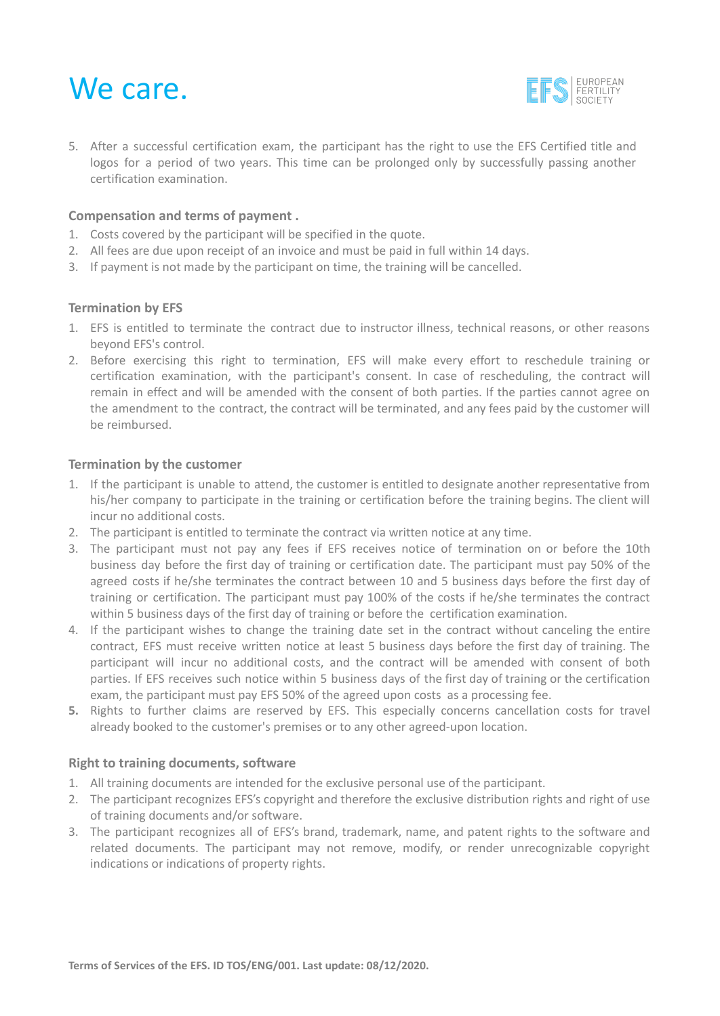

5. After a successful certification exam, the participant has the right to use the EFS Certified title and logos for a period of two years. This time can be prolonged only by successfully passing another certification examination.

#### **Compensation and terms of payment .**

- 1. Costs covered by the participant will be specified in the quote.
- 2. All fees are due upon receipt of an invoice and must be paid in full within 14 days.
- 3. If payment is not made by the participant on time, the training will be cancelled.

#### **Termination by EFS**

- 1. EFS is entitled to terminate the contract due to instructor illness, technical reasons, or other reasons beyond EFS's control.
- 2. Before exercising this right to termination, EFS will make every effort to reschedule training or certification examination, with the participant's consent. In case of rescheduling, the contract will remain in effect and will be amended with the consent of both parties. If the parties cannot agree on the amendment to the contract, the contract will be terminated, and any fees paid by the customer will be reimbursed.

#### **Termination by the customer**

- 1. If the participant is unable to attend, the customer is entitled to designate another representative from his/her company to participate in the training or certification before the training begins. The client will incur no additional costs.
- 2. The participant is entitled to terminate the contract via written notice at any time.
- 3. The participant must not pay any fees if EFS receives notice of termination on or before the 10th business day before the first day of training or certification date. The participant must pay 50% of the agreed costs if he/she terminates the contract between 10 and 5 business days before the first day of training or certification. The participant must pay 100% of the costs if he/she terminates the contract within 5 business days of the first day of training or before the certification examination.
- 4. If the participant wishes to change the training date set in the contract without canceling the entire contract, EFS must receive written notice at least 5 business days before the first day of training. The participant will incur no additional costs, and the contract will be amended with consent of both parties. If EFS receives such notice within 5 business days of the first day of training or the certification exam, the participant must pay EFS 50% of the agreed upon costs as a processing fee.
- **5.** Rights to further claims are reserved by EFS. This especially concerns cancellation costs for travel already booked to the customer's premises or to any other agreed-upon location.

#### **Right to training documents, software**

- 1. All training documents are intended for the exclusive personal use of the participant.
- 2. The participant recognizes EFS's copyright and therefore the exclusive distribution rights and right of use of training documents and/or software.
- 3. The participant recognizes all of EFS's brand, trademark, name, and patent rights to the software and related documents. The participant may not remove, modify, or render unrecognizable copyright indications or indications of property rights.